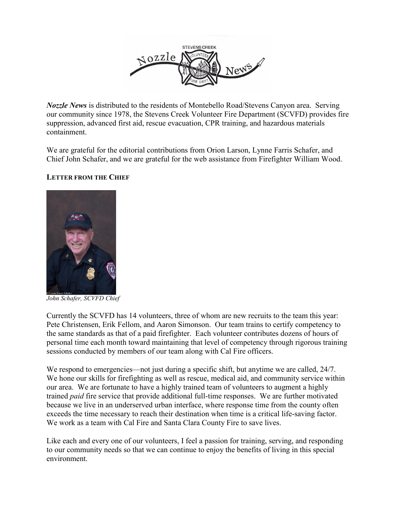

*Nozzle News* is distributed to the residents of Montebello Road/Stevens Canyon area. Serving our community since 1978, the Stevens Creek Volunteer Fire Department (SCVFD) provides fire suppression, advanced first aid, rescue evacuation, CPR training, and hazardous materials containment.

We are grateful for the editorial contributions from Orion Larson, Lynne Farris Schafer, and Chief John Schafer, and we are grateful for the web assistance from Firefighter William Wood.

# **LETTER FROM THE CHIEF**



*John Schafer, SCVFD Chief* 

Currently the SCVFD has 14 volunteers, three of whom are new recruits to the team this year: Pete Christensen, Erik Fellom, and Aaron Simonson. Our team trains to certify competency to the same standards as that of a paid firefighter. Each volunteer contributes dozens of hours of personal time each month toward maintaining that level of competency through rigorous training sessions conducted by members of our team along with Cal Fire officers.

We respond to emergencies—not just during a specific shift, but anytime we are called, 24/7. We hone our skills for firefighting as well as rescue, medical aid, and community service within our area. We are fortunate to have a highly trained team of volunteers to augment a highly trained *paid* fire service that provide additional full-time responses. We are further motivated because we live in an underserved urban interface, where response time from the county often exceeds the time necessary to reach their destination when time is a critical life-saving factor. We work as a team with Cal Fire and Santa Clara County Fire to save lives.

Like each and every one of our volunteers, I feel a passion for training, serving, and responding to our community needs so that we can continue to enjoy the benefits of living in this special environment.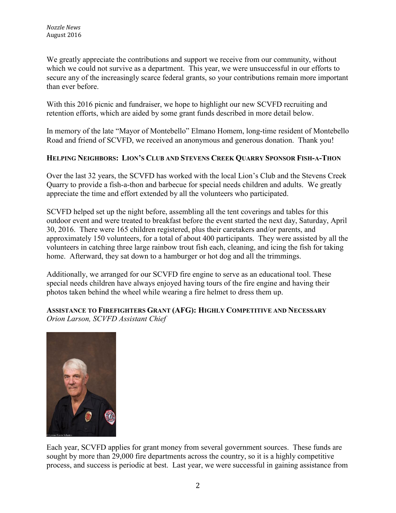We greatly appreciate the contributions and support we receive from our community, without which we could not survive as a department. This year, we were unsuccessful in our efforts to secure any of the increasingly scarce federal grants, so your contributions remain more important than ever before.

With this 2016 picnic and fundraiser, we hope to highlight our new SCVFD recruiting and retention efforts, which are aided by some grant funds described in more detail below.

In memory of the late "Mayor of Montebello" Elmano Homem, long-time resident of Montebello Road and friend of SCVFD, we received an anonymous and generous donation. Thank you!

# **HELPING NEIGHBORS: LION'S CLUB AND STEVENS CREEK QUARRY SPONSOR FISH-A-THON**

Over the last 32 years, the SCVFD has worked with the local Lion's Club and the Stevens Creek Quarry to provide a fish-a-thon and barbecue for special needs children and adults. We greatly appreciate the time and effort extended by all the volunteers who participated.

SCVFD helped set up the night before, assembling all the tent coverings and tables for this outdoor event and were treated to breakfast before the event started the next day, Saturday, April 30, 2016. There were 165 children registered, plus their caretakers and/or parents, and approximately 150 volunteers, for a total of about 400 participants. They were assisted by all the volunteers in catching three large rainbow trout fish each, cleaning, and icing the fish for taking home. Afterward, they sat down to a hamburger or hot dog and all the trimmings.

Additionally, we arranged for our SCVFD fire engine to serve as an educational tool. These special needs children have always enjoyed having tours of the fire engine and having their photos taken behind the wheel while wearing a fire helmet to dress them up.

# **ASSISTANCE TO FIREFIGHTERS GRANT (AFG): HIGHLY COMPETITIVE AND NECESSARY** *Orion Larson, SCVFD Assistant Chief*



Each year, SCVFD applies for grant money from several government sources. These funds are sought by more than 29,000 fire departments across the country, so it is a highly competitive process, and success is periodic at best. Last year, we were successful in gaining assistance from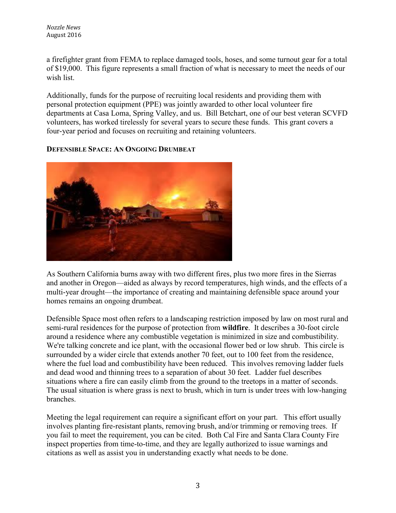a firefighter grant from FEMA to replace damaged tools, hoses, and some turnout gear for a total of \$19,000. This figure represents a small fraction of what is necessary to meet the needs of our wish list.

Additionally, funds for the purpose of recruiting local residents and providing them with personal protection equipment (PPE) was jointly awarded to other local volunteer fire departments at Casa Loma, Spring Valley, and us. Bill Betchart, one of our best veteran SCVFD volunteers, has worked tirelessly for several years to secure these funds. This grant covers a four-year period and focuses on recruiting and retaining volunteers.

## **DEFENSIBLE SPACE: AN ONGOING DRUMBEAT**



As Southern California burns away with two different fires, plus two more fires in the Sierras and another in Oregon—aided as always by record temperatures, high winds, and the effects of a multi-year drought—the importance of creating and maintaining defensible space around your homes remains an ongoing drumbeat.

Defensible Space most often refers to a landscaping restriction imposed by law on most rural and semi-rural residences for the purpose of protection from **wildfire**. It describes a 30-foot circle around a residence where any combustible vegetation is minimized in size and combustibility. We're talking concrete and ice plant, with the occasional flower bed or low shrub. This circle is surrounded by a wider circle that extends another 70 feet, out to 100 feet from the residence, where the fuel load and combustibility have been reduced. This involves removing ladder fuels and dead wood and thinning trees to a separation of about 30 feet. Ladder fuel describes situations where a fire can easily climb from the ground to the treetops in a matter of seconds. The usual situation is where grass is next to brush, which in turn is under trees with low-hanging branches.

Meeting the legal requirement can require a significant effort on your part. This effort usually involves planting fire-resistant plants, removing brush, and/or trimming or removing trees. If you fail to meet the requirement, you can be cited. Both Cal Fire and Santa Clara County Fire inspect properties from time-to-time, and they are legally authorized to issue warnings and citations as well as assist you in understanding exactly what needs to be done.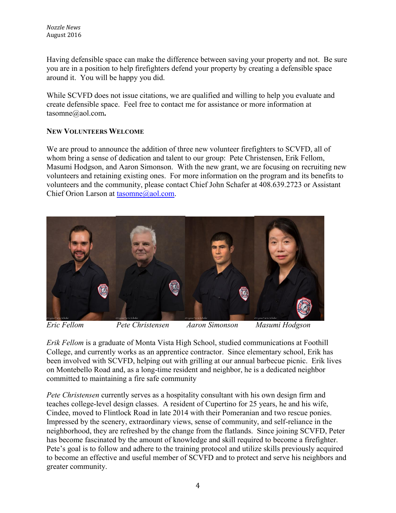Having defensible space can make the difference between saving your property and not. Be sure you are in a position to help firefighters defend your property by creating a defensible space around it. You will be happy you did.

While SCVFD does not issue citations, we are qualified and willing to help you evaluate and create defensible space. Feel free to contact me for assistance or more information at tasomne@aol.com**.**

## **NEW VOLUNTEERS WELCOME**

We are proud to announce the addition of three new volunteer firefighters to SCVFD, all of whom bring a sense of dedication and talent to our group: Pete Christensen, Erik Fellom, Masumi Hodgson, and Aaron Simonson. With the new grant, we are focusing on recruiting new volunteers and retaining existing ones. For more information on the program and its benefits to volunteers and the community, please contact Chief John Schafer at 408.639.2723 or Assistant Chief Orion Larson at [tasomne@aol.com.](mailto:tasomne@aol.com)



*Eric Fellom Pete Christensen Aaron Simonson Masumi Hodgson*

*Erik Fellom* is a graduate of Monta Vista High School, studied communications at Foothill College, and currently works as an apprentice contractor. Since elementary school, Erik has been involved with SCVFD, helping out with grilling at our annual barbecue picnic. Erik lives on Montebello Road and, as a long-time resident and neighbor, he is a dedicated neighbor committed to maintaining a fire safe community

*Pete Christensen* currently serves as a hospitality consultant with his own design firm and teaches college-level design classes. A resident of Cupertino for 25 years, he and his wife, Cindee, moved to Flintlock Road in late 2014 with their Pomeranian and two rescue ponies. Impressed by the scenery, extraordinary views, sense of community, and self-reliance in the neighborhood, they are refreshed by the change from the flatlands. Since joining SCVFD, Peter has become fascinated by the amount of knowledge and skill required to become a firefighter. Pete's goal is to follow and adhere to the training protocol and utilize skills previously acquired to become an effective and useful member of SCVFD and to protect and serve his neighbors and greater community.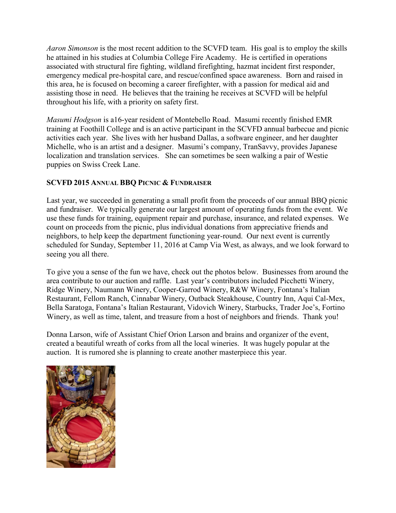*Aaron Simonson* is the most recent addition to the SCVFD team. His goal is to employ the skills he attained in his studies at Columbia College Fire Academy. He is certified in operations associated with structural fire fighting, wildland firefighting, hazmat incident first responder, emergency medical pre-hospital care, and rescue/confined space awareness. Born and raised in this area, he is focused on becoming a career firefighter, with a passion for medical aid and assisting those in need. He believes that the training he receives at SCVFD will be helpful throughout his life, with a priority on safety first.

*Masumi Hodgson* is a16-year resident of Montebello Road. Masumi recently finished EMR training at Foothill College and is an active participant in the SCVFD annual barbecue and picnic activities each year. She lives with her husband Dallas, a software engineer, and her daughter Michelle, who is an artist and a designer. Masumi's company, TranSavvy, provides Japanese localization and translation services. She can sometimes be seen walking a pair of Westie puppies on Swiss Creek Lane.

# **SCVFD 2015 ANNUAL BBQ PICNIC & FUNDRAISER**

Last year, we succeeded in generating a small profit from the proceeds of our annual BBQ picnic and fundraiser. We typically generate our largest amount of operating funds from the event. We use these funds for training, equipment repair and purchase, insurance, and related expenses. We count on proceeds from the picnic, plus individual donations from appreciative friends and neighbors, to help keep the department functioning year-round. Our next event is currently scheduled for Sunday, September 11, 2016 at Camp Via West, as always, and we look forward to seeing you all there.

To give you a sense of the fun we have, check out the photos below. Businesses from around the area contribute to our auction and raffle. Last year's contributors included Picchetti Winery, Ridge Winery, Naumann Winery, Cooper-Garrod Winery, R&W Winery, Fontana's Italian Restaurant, Fellom Ranch, Cinnabar Winery, Outback Steakhouse, Country Inn, Aqui Cal-Mex, Bella Saratoga, Fontana's Italian Restaurant, Vidovich Winery, Starbucks, Trader Joe's, Fortino Winery, as well as time, talent, and treasure from a host of neighbors and friends. Thank you!

Donna Larson, wife of Assistant Chief Orion Larson and brains and organizer of the event, created a beautiful wreath of corks from all the local wineries. It was hugely popular at the auction. It is rumored she is planning to create another masterpiece this year.

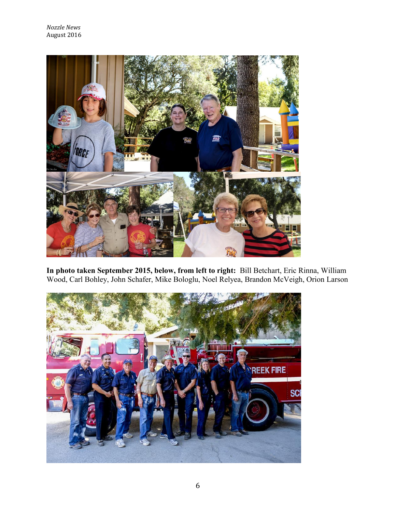

**In photo taken September 2015, below, from left to right:** Bill Betchart, Eric Rinna, William Wood, Carl Bohley, John Schafer, Mike Bologlu, Noel Relyea, Brandon McVeigh, Orion Larson

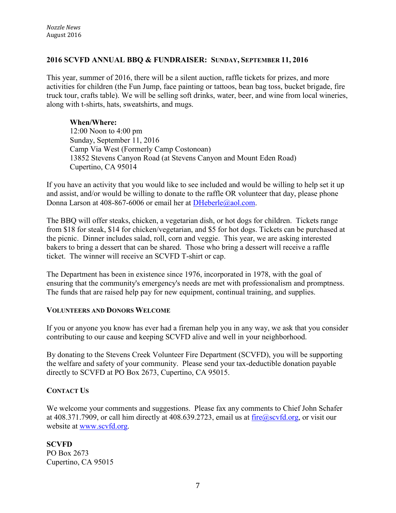## **2016 SCVFD ANNUAL BBQ & FUNDRAISER: SUNDAY, SEPTEMBER 11, 2016**

This year, summer of 2016, there will be a silent auction, raffle tickets for prizes, and more activities for children (the Fun Jump, face painting or tattoos, bean bag toss, bucket brigade, fire truck tour, crafts table). We will be selling soft drinks, water, beer, and wine from local wineries, along with t-shirts, hats, sweatshirts, and mugs.

#### **When/Where:**

12:00 Noon to 4:00 pm Sunday, September 11, 2016 Camp Via West (Formerly Camp Costonoan) 13852 Stevens Canyon Road (at Stevens Canyon and Mount Eden Road) Cupertino, CA 95014

If you have an activity that you would like to see included and would be willing to help set it up and assist, and/or would be willing to donate to the raffle OR volunteer that day, please phone Donna Larson at 408-867-6006 or email her at [DHeberle@aol.com.](mailto:DHeberle@aol.com)

The BBQ will offer steaks, chicken, a vegetarian dish, or hot dogs for children. Tickets range from \$18 for steak, \$14 for chicken/vegetarian, and \$5 for hot dogs. Tickets can be purchased at the picnic. Dinner includes salad, roll, corn and veggie. This year, we are asking interested bakers to bring a dessert that can be shared. Those who bring a dessert will receive a raffle ticket. The winner will receive an SCVFD T-shirt or cap.

The Department has been in existence since 1976, incorporated in 1978, with the goal of ensuring that the community's emergency's needs are met with professionalism and promptness. The funds that are raised help pay for new equipment, continual training, and supplies.

#### **VOLUNTEERS AND DONORS WELCOME**

If you or anyone you know has ever had a fireman help you in any way, we ask that you consider contributing to our cause and keeping SCVFD alive and well in your neighborhood.

By donating to the Stevens Creek Volunteer Fire Department (SCVFD), you will be supporting the welfare and safety of your community. Please send your tax-deductible donation payable directly to SCVFD at PO Box 2673, Cupertino, CA 95015.

#### **CONTACT US**

We welcome your comments and suggestions. Please fax any comments to Chief John Schafer at 408.371.7909, or call him directly at 408.639.2723, email us at  $fire@scvfd.org$ , or visit our website at [www.scvfd.org.](http://www.scvfd.org/)

**SCVFD** PO Box 2673 Cupertino, CA 95015